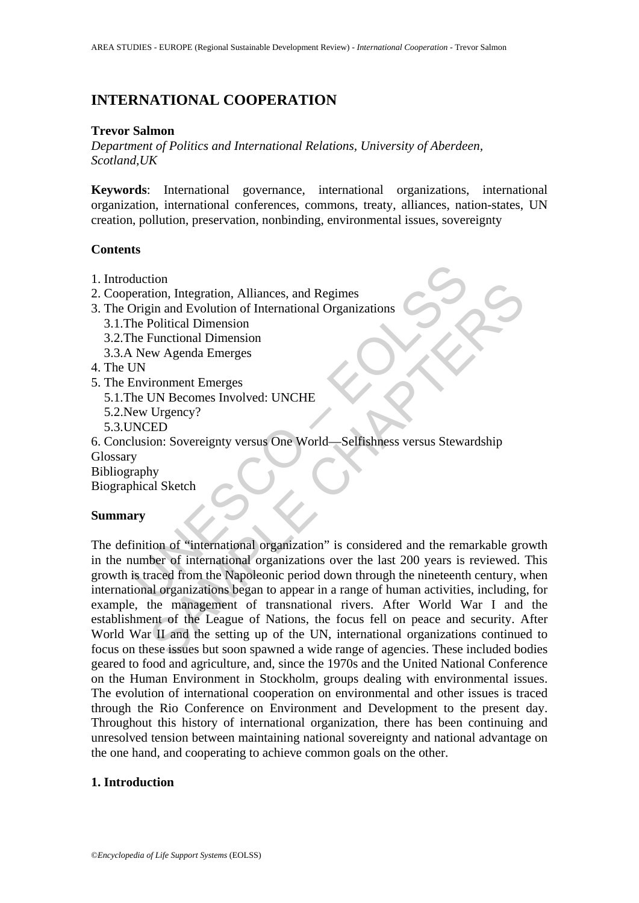# **INTERNATIONAL COOPERATION**

#### **Trevor Salmon**

*Department of Politics and International Relations, University of Aberdeen, Scotland,UK* 

**Keywords**: International governance, international organizations, international organization, international conferences, commons, treaty, alliances, nation-states, UN creation, pollution, preservation, nonbinding, environmental issues, sovereignty

#### **Contents**

- 1. Introduction
- 2. Cooperation, Integration, Alliances, and Regimes
- 3. The Origin and Evolution of International Organizations
	- 3.1.The Political Dimension
	- 3.2.The Functional Dimension
	- 3.3.A New Agenda Emerges
- 4. The UN
- 5. The Environment Emerges
	- 5.1.The UN Becomes Involved: UNCHE
	- 5.2.New Urgency?
	- 5.3.UNCED

6. Conclusion: Sovereignty versus One World—Selfishness versus Stewardship Glossary

Bibliography

Biographical Sketch

### **Summary**

duction<br>
eration, Integration, Alliances, and Regimes<br>
Origin and Evolution of International Organizations<br>
The Political Dimension<br>
New Agenda Emerges<br>
Environment Emerges<br>
he UN Becomes Involved: UNCHE<br>
Elev Urgency?<br>
NC Comparison<br>
ion, Integration, Alliances, and Regimes<br>
Epin and Evolution of International Organizations<br>
Folitical Dimension<br>
Evolution of International<br>
Europey?<br>
ISD Comparison<br>
is an Agenda Emerges<br>
IN Becomes Involved: The definition of "international organization" is considered and the remarkable growth in the number of international organizations over the last 200 years is reviewed. This growth is traced from the Napoleonic period down through the nineteenth century, when international organizations began to appear in a range of human activities, including, for example, the management of transnational rivers. After World War I and the establishment of the League of Nations, the focus fell on peace and security. After World War II and the setting up of the UN, international organizations continued to focus on these issues but soon spawned a wide range of agencies. These included bodies geared to food and agriculture, and, since the 1970s and the United National Conference on the Human Environment in Stockholm, groups dealing with environmental issues. The evolution of international cooperation on environmental and other issues is traced through the Rio Conference on Environment and Development to the present day. Throughout this history of international organization, there has been continuing and unresolved tension between maintaining national sovereignty and national advantage on the one hand, and cooperating to achieve common goals on the other.

### **1. Introduction**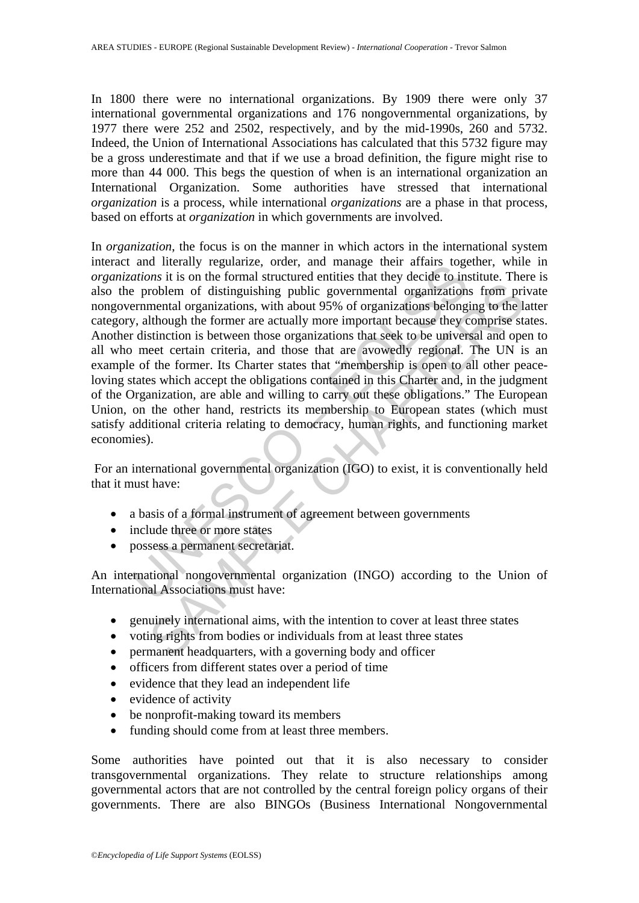In 1800 there were no international organizations. By 1909 there were only 37 international governmental organizations and 176 nongovernmental organizations, by 1977 there were 252 and 2502, respectively, and by the mid-1990s, 260 and 5732. Indeed, the Union of International Associations has calculated that this 5732 figure may be a gross underestimate and that if we use a broad definition, the figure might rise to more than 44 000. This begs the question of when is an international organization an International Organization. Some authorities have stressed that international *organization* is a process, while international *organizations* are a phase in that process, based on efforts at *organization* in which governments are involved.

and metally regularize, viole, and made weather almost logical<br>ations it is on the formal structured entities that they decide to insert<br>ations it is on the formal structured entities that they decide to insert<br>problem of roblem of distinguishing public governmental organizations from primental organizations, with about 95% of organizations belonging to the lithough the former are actually more important because they comprise station is bet In *organization*, the focus is on the manner in which actors in the international system interact and literally regularize, order, and manage their affairs together, while in *organizations* it is on the formal structured entities that they decide to institute. There is also the problem of distinguishing public governmental organizations from private nongovernmental organizations, with about 95% of organizations belonging to the latter category, although the former are actually more important because they comprise states. Another distinction is between those organizations that seek to be universal and open to all who meet certain criteria, and those that are avowedly regional. The UN is an example of the former. Its Charter states that "membership is open to all other peaceloving states which accept the obligations contained in this Charter and, in the judgment of the Organization, are able and willing to carry out these obligations." The European Union, on the other hand, restricts its membership to European states (which must satisfy additional criteria relating to democracy, human rights, and functioning market economies).

 For an international governmental organization (IGO) to exist, it is conventionally held that it must have:

- a basis of a formal instrument of agreement between governments
- include three or more states
- possess a permanent secretariat.

An international nongovernmental organization (INGO) according to the Union of International Associations must have:

- genuinely international aims, with the intention to cover at least three states
- voting rights from bodies or individuals from at least three states
- permanent headquarters, with a governing body and officer
- officers from different states over a period of time
- evidence that they lead an independent life
- evidence of activity
- be nonprofit-making toward its members
- funding should come from at least three members.

Some authorities have pointed out that it is also necessary to consider transgovernmental organizations. They relate to structure relationships among governmental actors that are not controlled by the central foreign policy organs of their governments. There are also BINGOs (Business International Nongovernmental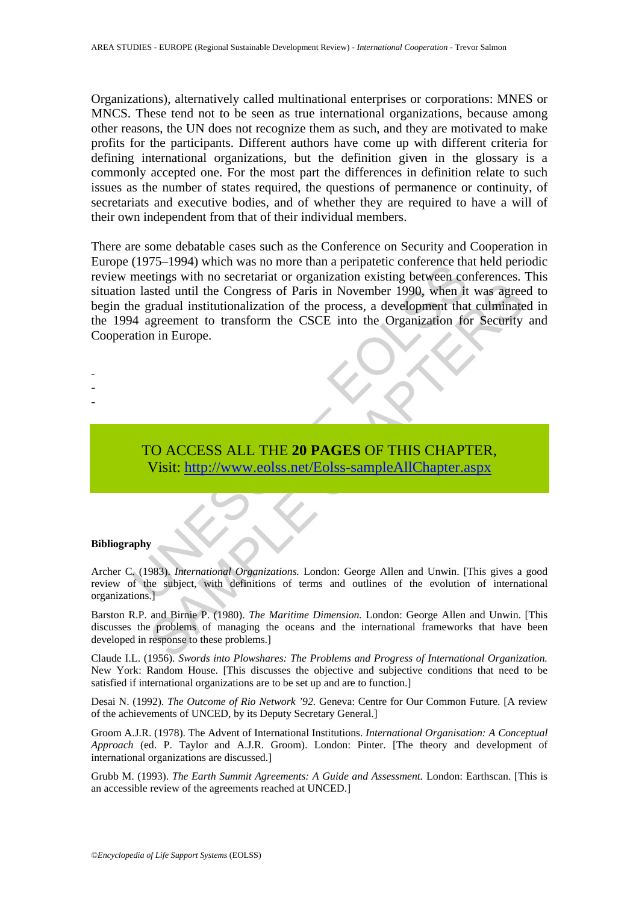Organizations), alternatively called multinational enterprises or corporations: MNES or MNCS. These tend not to be seen as true international organizations, because among other reasons, the UN does not recognize them as such, and they are motivated to make profits for the participants. Different authors have come up with different criteria for defining international organizations, but the definition given in the glossary is a commonly accepted one. For the most part the differences in definition relate to such issues as the number of states required, the questions of permanence or continuity, of secretariats and executive bodies, and of whether they are required to have a will of their own independent from that of their individual members.

(1975–1994) with the star mode tutal a peripated connection<br>tuesday with no secretariat or organization existing between con-<br>alsted until the Congress of Paris in November 1990, when it<br>ne gradual institutionalization of SAMPLE CONTROLL THE **20 PAGES** OF THIS [CH](https://www.eolss.net/ebooklib/sc_cart.aspx?File=E1-53-01)APTER,<br>
THE CONTROLL THE **20 PAGES** OF THIS CHAPTER,<br>
THE CHAPTER OF THIS CHAPTER,<br>
THE CHAPTER CHAPTER,<br>
THE CHAPTER CHAPTER,<br>
THE CHAPTER CHAPTER,<br>
THE CHAPTER,<br>
THE CHAPTER,<br>
THE There are some debatable cases such as the Conference on Security and Cooperation in Europe (1975–1994) which was no more than a peripatetic conference that held periodic review meetings with no secretariat or organization existing between conferences. This situation lasted until the Congress of Paris in November 1990, when it was agreed to begin the gradual institutionalization of the process, a development that culminated in the 1994 agreement to transform the CSCE into the Organization for Security and Cooperation in Europe.

- -
- -
- -

## TO ACCESS ALL THE **20 PAGES** OF THIS CHAPTER, Visit: http://www.eolss.net/Eolss-sampleAllChapter.aspx

#### **Bibliography**

Archer C. (1983). *International Organizations.* London: George Allen and Unwin. [This gives a good review of the subject, with definitions of terms and outlines of the evolution of international organizations.]

Barston R.P. and Birnie P. (1980). *The Maritime Dimension.* London: George Allen and Unwin. [This discusses the problems of managing the oceans and the international frameworks that have been developed in response to these problems.]

Claude I.L. (1956). *Swords into Plowshares: The Problems and Progress of International Organization.* New York: Random House. [This discusses the objective and subjective conditions that need to be satisfied if international organizations are to be set up and are to function.]

Desai N. (1992). *The Outcome of Rio Network '92.* Geneva: Centre for Our Common Future. [A review of the achievements of UNCED, by its Deputy Secretary General.]

Groom A.J.R. (1978). The Advent of International Institutions. *International Organisation: A Conceptual Approach* (ed. P. Taylor and A.J.R. Groom). London: Pinter. [The theory and development of international organizations are discussed.]

Grubb M. (1993). *The Earth Summit Agreements: A Guide and Assessment.* London: Earthscan. [This is an accessible review of the agreements reached at UNCED.]